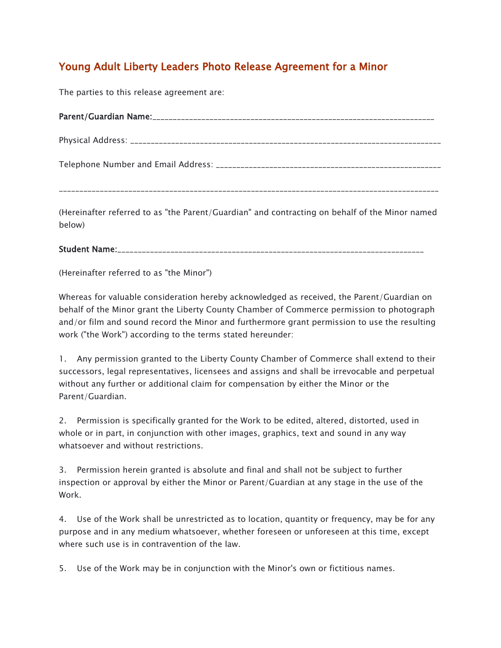## Young Adult Liberty Leaders Photo Release Agreement for a Minor

The parties to this release agreement are:

(Hereinafter referred to as "the Parent/Guardian" and contracting on behalf of the Minor named below)

## Student Name:

(Hereinafter referred to as "the Minor")

Whereas for valuable consideration hereby acknowledged as received, the Parent/Guardian on behalf of the Minor grant the Liberty County Chamber of Commerce permission to photograph and/or film and sound record the Minor and furthermore grant permission to use the resulting work ("the Work") according to the terms stated hereunder:

1. Any permission granted to the Liberty County Chamber of Commerce shall extend to their successors, legal representatives, licensees and assigns and shall be irrevocable and perpetual without any further or additional claim for compensation by either the Minor or the Parent/Guardian.

2. Permission is specifically granted for the Work to be edited, altered, distorted, used in whole or in part, in conjunction with other images, graphics, text and sound in any way whatsoever and without restrictions.

3. Permission herein granted is absolute and final and shall not be subject to further inspection or approval by either the Minor or Parent/Guardian at any stage in the use of the Work.

4. Use of the Work shall be unrestricted as to location, quantity or frequency, may be for any purpose and in any medium whatsoever, whether foreseen or unforeseen at this time, except where such use is in contravention of the law.

5. Use of the Work may be in conjunction with the Minor's own or fictitious names.